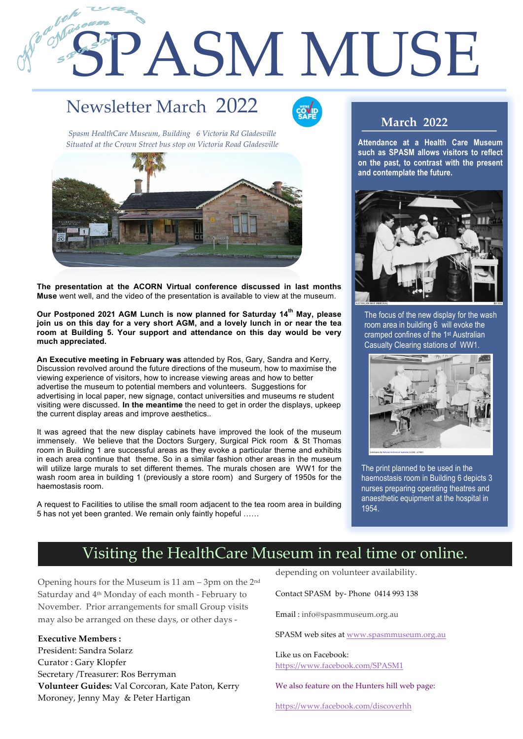# SPASM MUSE

# Newsletter March 2022

1

2



*Spasm HealthCare Museum, Building 6 Victoria Rd Gladesville Situated at the Crown Street bus stop on Victoria Road Gladesville*



**The presentation at the ACORN Virtual conference discussed in last months Muse** went well, and the video of the presentation is available to view at the museum.

**Our Postponed 2021 AGM Lunch is now planned for Saturday 14th May, please join us on this day for a very short AGM, and a lovely lunch in or near the tea room at Building 5. Your support and attendance on this day would be very much appreciated.** 

**An Executive meeting in February was** attended by Ros, Gary, Sandra and Kerry, Discussion revolved around the future directions of the museum, how to maximise the viewing experience of visitors, how to increase viewing areas and how to better advertise the museum to potential members and volunteers. Suggestions for advertising in local paper, new signage, contact universities and museums re student visiting were discussed. **In the meantime** the need to get in order the displays, upkeep the current display areas and improve aesthetics..

It was agreed that the new display cabinets have improved the look of the museum immensely. We believe that the Doctors Surgery, Surgical Pick room & St Thomas room in Building 1 are successful areas as they evoke a particular theme and exhibits in each area continue that theme. So in a similar fashion other areas in the museum will utilize large murals to set different themes. The murals chosen are WW1 for the wash room area in building 1 (previously a store room) and Surgery of 1950s for the haemostasis room.

A request to Facilities to utilise the small room adjacent to the tea room area in building 5 has not yet been granted. We remain only faintly hopeful ……

#### **March 2022**

**Attendance at a Health Care Museum such as SPASM allows visitors to reflect on the past, to contrast with the present and contemplate the future.** 



The focus of the new display for the wash room area in building 6 will evoke the cramped confines of the 1st Australian Casualty Clearing stations of WW1.



The print planned to be used in the haemostasis room in Building 6 depicts 3 nurses preparing operating theatres and anaesthetic equipment at the hospital in 1954.

## Visiting the HealthCare Museum in real time or online.

Opening hours for the Museum is 11 am – 3pm on the 2nd Saturday and 4th Monday of each month - February to November. Prior arrangements for small Group visits may also be arranged on these days, or other days -

**Executive Members :**

President: Sandra Solarz Curator : Gary Klopfer Secretary /Treasurer: Ros Berryman **Volunteer Guides:** Val Corcoran, Kate Paton, Kerry Moroney, Jenny May & Peter Hartigan

depending on volunteer availability.

Contact SPASM by- Phone 0414 993 138

Email : info@spasmmuseum.org.au

SPASM web sites at www.spasmmuseum.org.au

Like us on Facebook: https://www.facebook.com/SPASM1

We also feature on the Hunters hill web page:

https://www.facebook.com/discoverhh